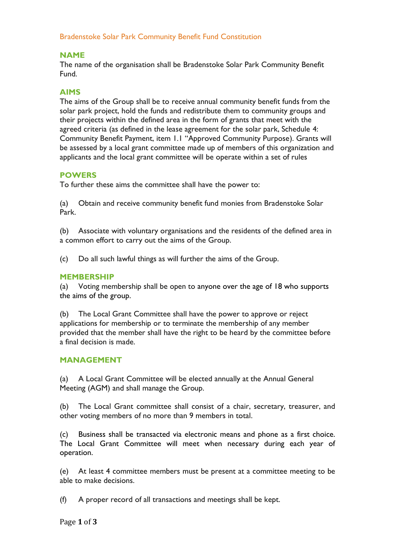Bradenstoke Solar Park Community Benefit Fund Constitution

# **NAME**

The name of the organisation shall be Bradenstoke Solar Park Community Benefit Fund.

# **AIMS**

The aims of the Group shall be to receive annual community benefit funds from the solar park project, hold the funds and redistribute them to community groups and their projects within the defined area in the form of grants that meet with the agreed criteria (as defined in the lease agreement for the solar park, Schedule 4: Community Benefit Payment, item 1.1 "Approved Community Purpose). Grants will be assessed by a local grant committee made up of members of this organization and applicants and the local grant committee will be operate within a set of rules

# **POWERS**

To further these aims the committee shall have the power to:

(a) Obtain and receive community benefit fund monies from Bradenstoke Solar Park.

(b) Associate with voluntary organisations and the residents of the defined area in a common effort to carry out the aims of the Group.

(c) Do all such lawful things as will further the aims of the Group.

## **MEMBERSHIP**

(a) Voting membership shall be open to anyone over the age of 18 who supports the aims of the group.

(b) The Local Grant Committee shall have the power to approve or reject applications for membership or to terminate the membership of any member provided that the member shall have the right to be heard by the committee before a final decision is made.

#### **MANAGEMENT**

(a) A Local Grant Committee will be elected annually at the Annual General Meeting (AGM) and shall manage the Group.

(b) The Local Grant committee shall consist of a chair, secretary, treasurer, and other voting members of no more than 9 members in total.

(c) Business shall be transacted via electronic means and phone as a first choice. The Local Grant Committee will meet when necessary during each year of operation.

(e) At least 4 committee members must be present at a committee meeting to be able to make decisions.

(f) A proper record of all transactions and meetings shall be kept.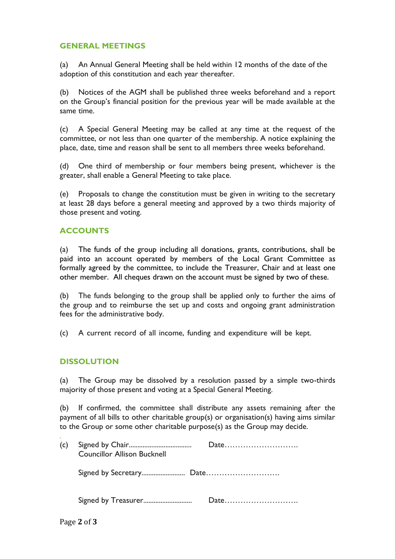## **GENERAL MEETINGS**

(a) An Annual General Meeting shall be held within 12 months of the date of the adoption of this constitution and each year thereafter.

(b) Notices of the AGM shall be published three weeks beforehand and a report on the Group's financial position for the previous year will be made available at the same time.

(c) A Special General Meeting may be called at any time at the request of the committee, or not less than one quarter of the membership. A notice explaining the place, date, time and reason shall be sent to all members three weeks beforehand.

(d) One third of membership or four members being present, whichever is the greater, shall enable a General Meeting to take place.

(e) Proposals to change the constitution must be given in writing to the secretary at least 28 days before a general meeting and approved by a two thirds majority of those present and voting.

## **ACCOUNTS**

(a) The funds of the group including all donations, grants, contributions, shall be paid into an account operated by members of the Local Grant Committee as formally agreed by the committee, to include the Treasurer, Chair and at least one other member. All cheques drawn on the account must be signed by two of these.

(b) The funds belonging to the group shall be applied only to further the aims of the group and to reimburse the set up and costs and ongoing grant administration fees for the administrative body.

(c) A current record of all income, funding and expenditure will be kept.

#### **DISSOLUTION**

(a) The Group may be dissolved by a resolution passed by a simple two-thirds majority of those present and voting at a Special General Meeting.

(b) If confirmed, the committee shall distribute any assets remaining after the payment of all bills to other charitable group(s) or organisation(s) having aims similar to the Group or some other charitable purpose(s) as the Group may decide.

| (c) | <b>Councillor Allison Bucknell</b> | $Date \dots \dots \dots \dots \dots \dots \dots \dots$ |
|-----|------------------------------------|--------------------------------------------------------|
|     |                                    |                                                        |
|     |                                    |                                                        |

*.*